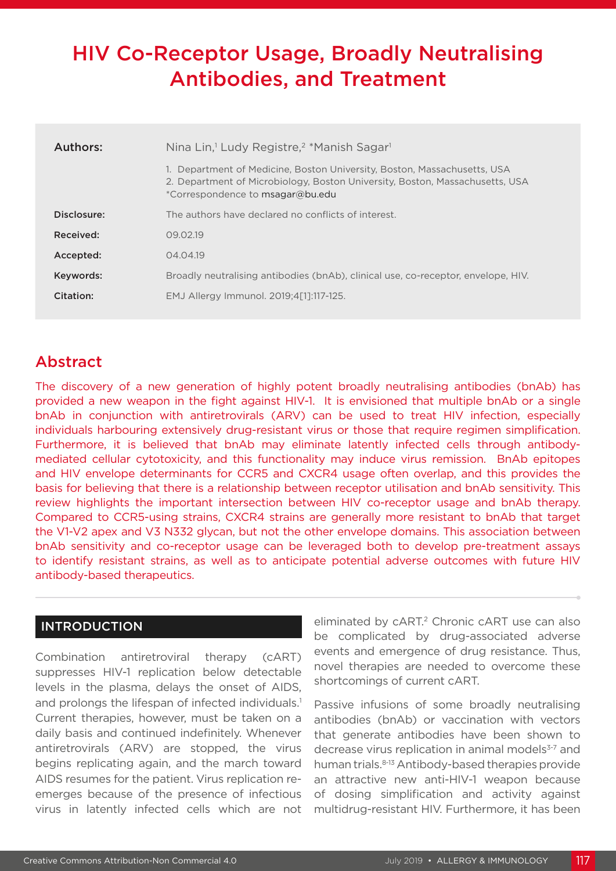# HIV Co-Receptor Usage, Broadly Neutralising Antibodies, and Treatment

| Authors:    | Nina Lin, <sup>1</sup> Ludy Registre, <sup>2</sup> *Manish Sagar <sup>1</sup>                                                                                                             |  |  |  |  |
|-------------|-------------------------------------------------------------------------------------------------------------------------------------------------------------------------------------------|--|--|--|--|
|             | Department of Medicine, Boston University, Boston, Massachusetts, USA<br>2. Department of Microbiology, Boston University, Boston, Massachusetts, USA<br>*Correspondence to msagar@bu.edu |  |  |  |  |
| Disclosure: | The authors have declared no conflicts of interest.                                                                                                                                       |  |  |  |  |
| Received:   | 09.02.19                                                                                                                                                                                  |  |  |  |  |
| Accepted:   | 04.04.19                                                                                                                                                                                  |  |  |  |  |
| Keywords:   | Broadly neutralising antibodies (bnAb), clinical use, co-receptor, envelope, HIV.                                                                                                         |  |  |  |  |
| Citation:   | EMJ Allergy Immunol. 2019;4[1]:117-125.                                                                                                                                                   |  |  |  |  |

# Abstract

The discovery of a new generation of highly potent broadly neutralising antibodies (bnAb) has provided a new weapon in the fight against HIV-1. It is envisioned that multiple bnAb or a single bnAb in conjunction with antiretrovirals (ARV) can be used to treat HIV infection, especially individuals harbouring extensively drug-resistant virus or those that require regimen simplification. Furthermore, it is believed that bnAb may eliminate latently infected cells through antibodymediated cellular cytotoxicity, and this functionality may induce virus remission. BnAb epitopes and HIV envelope determinants for CCR5 and CXCR4 usage often overlap, and this provides the basis for believing that there is a relationship between receptor utilisation and bnAb sensitivity. This review highlights the important intersection between HIV co-receptor usage and bnAb therapy. Compared to CCR5-using strains, CXCR4 strains are generally more resistant to bnAb that target the V1-V2 apex and V3 N332 glycan, but not the other envelope domains. This association between bnAb sensitivity and co-receptor usage can be leveraged both to develop pre-treatment assays to identify resistant strains, as well as to anticipate potential adverse outcomes with future HIV antibody-based therapeutics.

# INTRODUCTION

Combination antiretroviral therapy (cART) suppresses HIV-1 replication below detectable levels in the plasma, delays the onset of AIDS, and prolongs the lifespan of infected individuals.<sup>1</sup> Current therapies, however, must be taken on a daily basis and continued indefinitely. Whenever antiretrovirals (ARV) are stopped, the virus begins replicating again, and the march toward AIDS resumes for the patient. Virus replication reemerges because of the presence of infectious virus in latently infected cells which are not

eliminated by cART.<sup>2</sup> Chronic cART use can also be complicated by drug-associated adverse events and emergence of drug resistance. Thus, novel therapies are needed to overcome these shortcomings of current cART.

Passive infusions of some broadly neutralising antibodies (bnAb) or vaccination with vectors that generate antibodies have been shown to decrease virus replication in animal models<sup>3-7</sup> and human trials. 8-13 Antibody-based therapies provide an attractive new anti-HIV-1 weapon because of dosing simplification and activity against multidrug-resistant HIV. Furthermore, it has been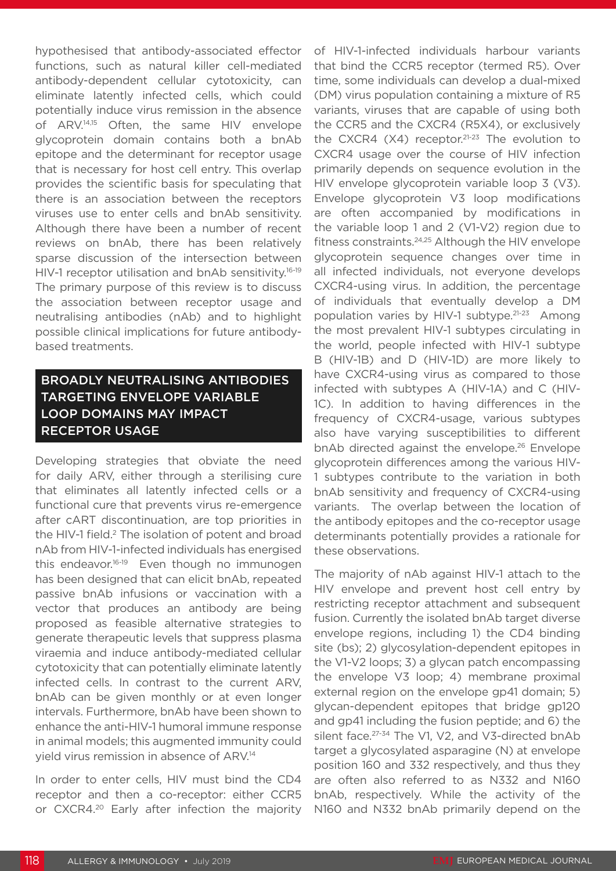hypothesised that antibody-associated effector functions, such as natural killer cell-mediated antibody-dependent cellular cytotoxicity, can eliminate latently infected cells, which could potentially induce virus remission in the absence of ARV.14,15 Often, the same HIV envelope glycoprotein domain contains both a bnAb epitope and the determinant for receptor usage that is necessary for host cell entry. This overlap provides the scientific basis for speculating that there is an association between the receptors viruses use to enter cells and bnAb sensitivity. Although there have been a number of recent reviews on bnAb, there has been relatively sparse discussion of the intersection between HIV-1 receptor utilisation and bnAb sensitivity.<sup>16-19</sup> The primary purpose of this review is to discuss the association between receptor usage and neutralising antibodies (nAb) and to highlight possible clinical implications for future antibodybased treatments.

# BROADLY NEUTRALISING ANTIBODIES TARGETING ENVELOPE VARIABLE LOOP DOMAINS MAY IMPACT RECEPTOR USAGE

Developing strategies that obviate the need for daily ARV, either through a sterilising cure that eliminates all latently infected cells or a functional cure that prevents virus re-emergence after cART discontinuation, are top priorities in the HIV-1 field.<sup>2</sup> The isolation of potent and broad nAb from HIV-1-infected individuals has energised this endeavor.16-19 Even though no immunogen has been designed that can elicit bnAb, repeated passive bnAb infusions or vaccination with a vector that produces an antibody are being proposed as feasible alternative strategies to generate therapeutic levels that suppress plasma viraemia and induce antibody-mediated cellular cytotoxicity that can potentially eliminate latently infected cells. In contrast to the current ARV, bnAb can be given monthly or at even longer intervals. Furthermore, bnAb have been shown to enhance the anti-HIV-1 humoral immune response in animal models; this augmented immunity could yield virus remission in absence of ARV.14

In order to enter cells, HIV must bind the CD4 receptor and then a co-receptor: either CCR5 or CXCR4.20 Early after infection the majority of HIV-1-infected individuals harbour variants that bind the CCR5 receptor (termed R5). Over time, some individuals can develop a dual-mixed (DM) virus population containing a mixture of R5 variants, viruses that are capable of using both the CCR5 and the CXCR4 (R5X4), or exclusively the CXCR4 (X4) receptor.<sup>21-23</sup> The evolution to CXCR4 usage over the course of HIV infection primarily depends on sequence evolution in the HIV envelope glycoprotein variable loop 3 (V3). Envelope glycoprotein V3 loop modifications are often accompanied by modifications in the variable loop 1 and 2 (V1-V2) region due to fitness constraints.24,25 Although the HIV envelope glycoprotein sequence changes over time in all infected individuals, not everyone develops CXCR4-using virus. In addition, the percentage of individuals that eventually develop a DM population varies by HIV-1 subtype.21-23 Among the most prevalent HIV-1 subtypes circulating in the world, people infected with HIV-1 subtype B (HIV-1B) and D (HIV-1D) are more likely to have CXCR4-using virus as compared to those infected with subtypes A (HIV-1A) and C (HIV-1C). In addition to having differences in the frequency of CXCR4-usage, various subtypes also have varying susceptibilities to different bnAb directed against the envelope.<sup>26</sup> Envelope glycoprotein differences among the various HIV-1 subtypes contribute to the variation in both bnAb sensitivity and frequency of CXCR4-using variants. The overlap between the location of the antibody epitopes and the co-receptor usage determinants potentially provides a rationale for these observations.

The majority of nAb against HIV-1 attach to the HIV envelope and prevent host cell entry by restricting receptor attachment and subsequent fusion. Currently the isolated bnAb target diverse envelope regions, including 1) the CD4 binding site (bs); 2) glycosylation-dependent epitopes in the V1-V2 loops; 3) a glycan patch encompassing the envelope V3 loop; 4) membrane proximal external region on the envelope gp41 domain; 5) glycan-dependent epitopes that bridge gp120 and gp41 including the fusion peptide; and 6) the silent face.<sup>27-34</sup> The V1, V2, and V3-directed bnAb target a glycosylated asparagine (N) at envelope position 160 and 332 respectively, and thus they are often also referred to as N332 and N160 bnAb, respectively. While the activity of the N160 and N332 bnAb primarily depend on the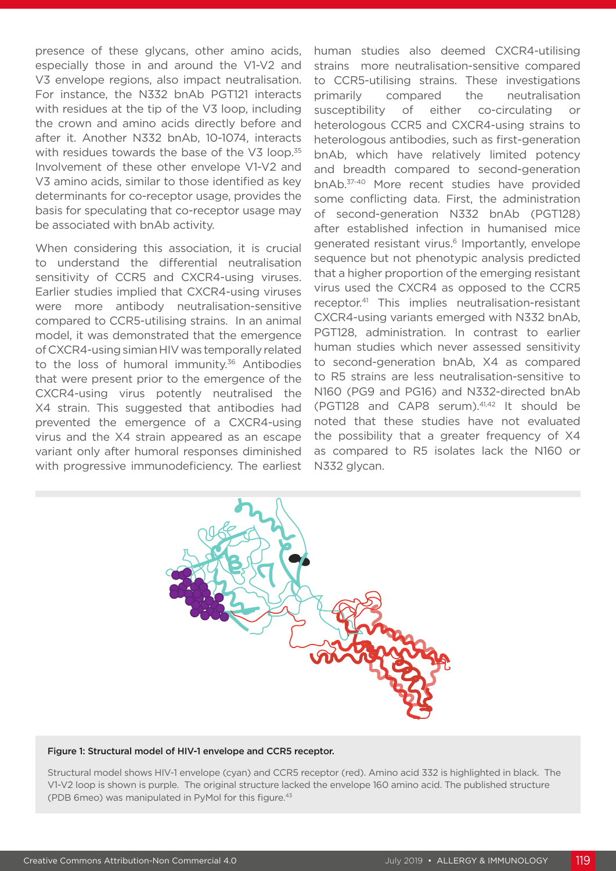presence of these glycans, other amino acids, especially those in and around the V1-V2 and V3 envelope regions, also impact neutralisation. For instance, the N332 bnAb PGT121 interacts with residues at the tip of the V3 loop, including the crown and amino acids directly before and after it. Another N332 bnAb, 10-1074, interacts with residues towards the base of the V3 loop.<sup>35</sup> Involvement of these other envelope V1-V2 and V3 amino acids, similar to those identified as key determinants for co-receptor usage, provides the basis for speculating that co-receptor usage may be associated with bnAb activity.

When considering this association, it is crucial to understand the differential neutralisation sensitivity of CCR5 and CXCR4-using viruses. Earlier studies implied that CXCR4-using viruses were more antibody neutralisation-sensitive compared to CCR5-utilising strains. In an animal model, it was demonstrated that the emergence of CXCR4-using simian HIV was temporally related to the loss of humoral immunity.<sup>36</sup> Antibodies that were present prior to the emergence of the CXCR4-using virus potently neutralised the X4 strain. This suggested that antibodies had prevented the emergence of a CXCR4-using virus and the X4 strain appeared as an escape variant only after humoral responses diminished with progressive immunodeficiency. The earliest

human studies also deemed CXCR4-utilising strains more neutralisation-sensitive compared to CCR5-utilising strains. These investigations primarily compared the neutralisation susceptibility of either co-circulating or heterologous CCR5 and CXCR4-using strains to heterologous antibodies, such as first-generation bnAb, which have relatively limited potency and breadth compared to second-generation bnAb.37-40 More recent studies have provided some conflicting data. First, the administration of second-generation N332 bnAb (PGT128) after established infection in humanised mice generated resistant virus.<sup>6</sup> Importantly, envelope sequence but not phenotypic analysis predicted that a higher proportion of the emerging resistant virus used the CXCR4 as opposed to the CCR5 receptor.41 This implies neutralisation-resistant CXCR4-using variants emerged with N332 bnAb, PGT128, administration. In contrast to earlier human studies which never assessed sensitivity to second-generation bnAb, X4 as compared to R5 strains are less neutralisation-sensitive to N160 (PG9 and PG16) and N332-directed bnAb (PGT128 and CAP8 serum).41,42 It should be noted that these studies have not evaluated the possibility that a greater frequency of X4 as compared to R5 isolates lack the N160 or N332 glycan.



#### Figure 1: Structural model of HIV-1 envelope and CCR5 receptor.

Structural model shows HIV-1 envelope (cyan) and CCR5 receptor (red). Amino acid 332 is highlighted in black. The V1-V2 loop is shown is purple. The original structure lacked the envelope 160 amino acid. The published structure (PDB 6meo) was manipulated in PyMol for this figure.43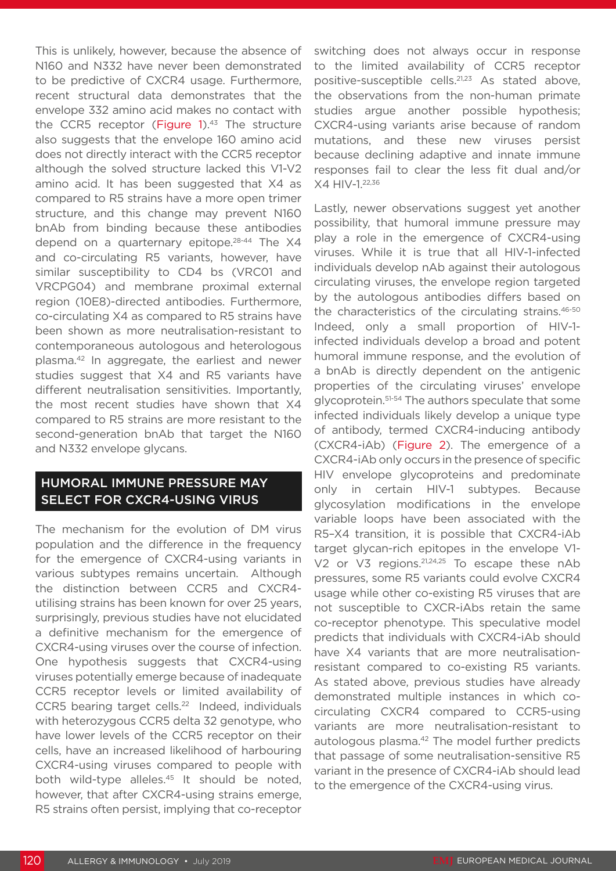This is unlikely, however, because the absence of N160 and N332 have never been demonstrated to be predictive of CXCR4 usage. Furthermore, recent structural data demonstrates that the envelope 332 amino acid makes no contact with the CCR5 receptor (Figure 1).<sup>43</sup> The structure also suggests that the envelope 160 amino acid does not directly interact with the CCR5 receptor although the solved structure lacked this V1-V2 amino acid. It has been suggested that X4 as compared to R5 strains have a more open trimer structure, and this change may prevent N160 bnAb from binding because these antibodies depend on a quarternary epitope.<sup>28-44</sup> The X4 and co-circulating R5 variants, however, have similar susceptibility to CD4 bs (VRC01 and VRCPG04) and membrane proximal external region (10E8)-directed antibodies. Furthermore, co-circulating X4 as compared to R5 strains have been shown as more neutralisation-resistant to contemporaneous autologous and heterologous plasma.42 In aggregate, the earliest and newer studies suggest that X4 and R5 variants have different neutralisation sensitivities. Importantly, the most recent studies have shown that X4 compared to R5 strains are more resistant to the second-generation bnAb that target the N160 and N332 envelope glycans.

# HUMORAL IMMUNE PRESSURE MAY SELECT FOR CXCR4-USING VIRUS

The mechanism for the evolution of DM virus population and the difference in the frequency for the emergence of CXCR4-using variants in various subtypes remains uncertain. Although the distinction between CCR5 and CXCR4 utilising strains has been known for over 25 years, surprisingly, previous studies have not elucidated a definitive mechanism for the emergence of CXCR4-using viruses over the course of infection. One hypothesis suggests that CXCR4-using viruses potentially emerge because of inadequate CCR5 receptor levels or limited availability of CCR5 bearing target cells.<sup>22</sup> Indeed, individuals with heterozygous CCR5 delta 32 genotype, who have lower levels of the CCR5 receptor on their cells, have an increased likelihood of harbouring CXCR4-using viruses compared to people with both wild-type alleles.<sup>45</sup> It should be noted, however, that after CXCR4-using strains emerge, R5 strains often persist, implying that co-receptor switching does not always occur in response to the limited availability of CCR5 receptor positive-susceptible cells.21,23 As stated above, the observations from the non-human primate studies argue another possible hypothesis; CXCR4-using variants arise because of random mutations, and these new viruses persist because declining adaptive and innate immune responses fail to clear the less fit dual and/or X4 HIV-1.22,36

Lastly, newer observations suggest yet another possibility, that humoral immune pressure may play a role in the emergence of CXCR4-using viruses. While it is true that all HIV-1-infected individuals develop nAb against their autologous circulating viruses, the envelope region targeted by the autologous antibodies differs based on the characteristics of the circulating strains.<sup>46-50</sup> Indeed, only a small proportion of HIV-1 infected individuals develop a broad and potent humoral immune response, and the evolution of a bnAb is directly dependent on the antigenic properties of the circulating viruses' envelope glycoprotein.<sup>51-54</sup> The authors speculate that some infected individuals likely develop a unique type of antibody, termed CXCR4-inducing antibody (CXCR4-iAb) (Figure 2). The emergence of a CXCR4-iAb only occurs in the presence of specific HIV envelope glycoproteins and predominate only in certain HIV-1 subtypes. Because glycosylation modifications in the envelope variable loops have been associated with the R5–X4 transition, it is possible that CXCR4-iAb target glycan-rich epitopes in the envelope V1- V2 or V3 regions.<sup>21,24,25</sup> To escape these nAb pressures, some R5 variants could evolve CXCR4 usage while other co-existing R5 viruses that are not susceptible to CXCR-iAbs retain the same co-receptor phenotype. This speculative model predicts that individuals with CXCR4-iAb should have X4 variants that are more neutralisationresistant compared to co-existing R5 variants. As stated above, previous studies have already demonstrated multiple instances in which cocirculating CXCR4 compared to CCR5-using variants are more neutralisation-resistant to autologous plasma.<sup>42</sup> The model further predicts that passage of some neutralisation-sensitive R5 variant in the presence of CXCR4-iAb should lead to the emergence of the CXCR4-using virus.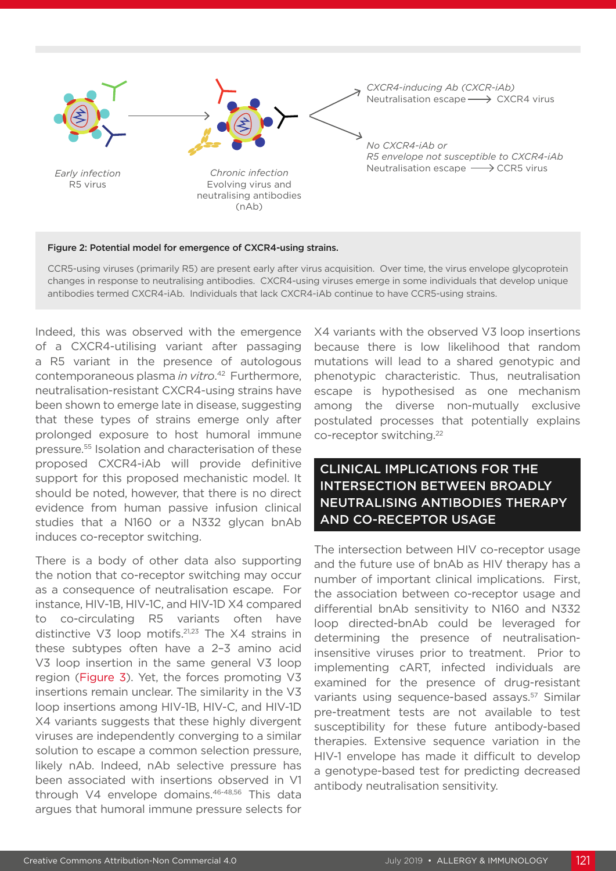

#### Figure 2: Potential model for emergence of CXCR4-using strains.

CCR5-using viruses (primarily R5) are present early after virus acquisition. Over time, the virus envelope glycoprotein changes in response to neutralising antibodies. CXCR4-using viruses emerge in some individuals that develop unique antibodies termed CXCR4-iAb. Individuals that lack CXCR4-iAb continue to have CCR5-using strains.

Indeed, this was observed with the emergence of a CXCR4-utilising variant after passaging a R5 variant in the presence of autologous contemporaneous plasma *in vitro*. 42 Furthermore, neutralisation-resistant CXCR4-using strains have been shown to emerge late in disease, suggesting that these types of strains emerge only after prolonged exposure to host humoral immune pressure.55 Isolation and characterisation of these proposed CXCR4-iAb will provide definitive support for this proposed mechanistic model. It should be noted, however, that there is no direct evidence from human passive infusion clinical studies that a N160 or a N332 glycan bnAb induces co-receptor switching.

There is a body of other data also supporting the notion that co-receptor switching may occur as a consequence of neutralisation escape. For instance, HIV-1B, HIV-1C, and HIV-1D X4 compared to co-circulating R5 variants often have distinctive V3 loop motifs.21,23 The X4 strains in these subtypes often have a 2–3 amino acid V3 loop insertion in the same general V3 loop region (Figure 3). Yet, the forces promoting V3 insertions remain unclear. The similarity in the V3 loop insertions among HIV-1B, HIV-C, and HIV-1D X4 variants suggests that these highly divergent viruses are independently converging to a similar solution to escape a common selection pressure, likely nAb. Indeed, nAb selective pressure has been associated with insertions observed in V1 through V4 envelope domains.46-48,56 This data argues that humoral immune pressure selects for

X4 variants with the observed V3 loop insertions because there is low likelihood that random mutations will lead to a shared genotypic and phenotypic characteristic. Thus, neutralisation escape is hypothesised as one mechanism among the diverse non-mutually exclusive postulated processes that potentially explains co-receptor switching.22

# CLINICAL IMPLICATIONS FOR THE INTERSECTION BETWEEN BROADLY NEUTRALISING ANTIBODIES THERAPY AND CO-RECEPTOR USAGE

The intersection between HIV co-receptor usage and the future use of bnAb as HIV therapy has a number of important clinical implications. First, the association between co-receptor usage and differential bnAb sensitivity to N160 and N332 loop directed-bnAb could be leveraged for determining the presence of neutralisationinsensitive viruses prior to treatment. Prior to implementing cART, infected individuals are examined for the presence of drug-resistant variants using sequence-based assays.<sup>57</sup> Similar pre-treatment tests are not available to test susceptibility for these future antibody-based therapies. Extensive sequence variation in the HIV-1 envelope has made it difficult to develop a genotype-based test for predicting decreased antibody neutralisation sensitivity.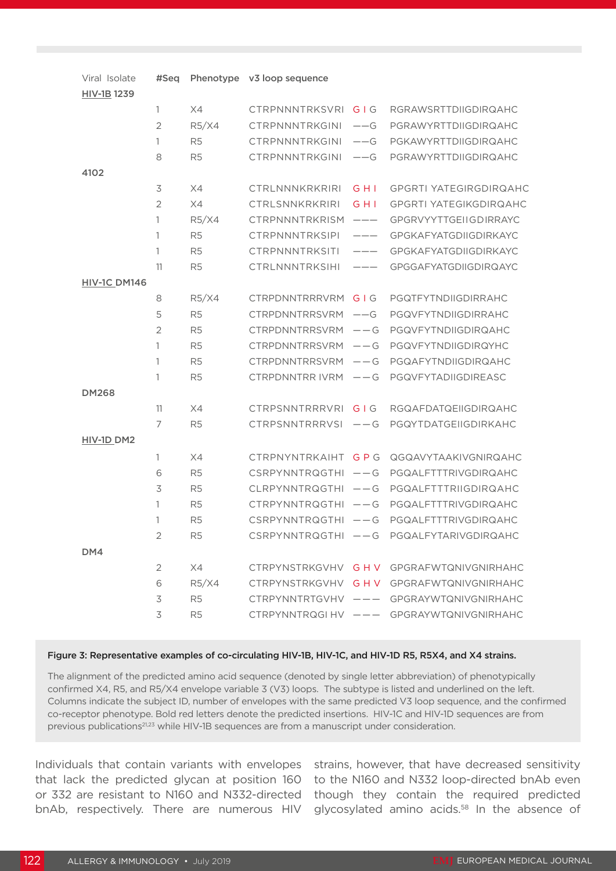| Viral Isolate       | #Seq           |                | Phenotype v3 loop sequence |                            |                                           |
|---------------------|----------------|----------------|----------------------------|----------------------------|-------------------------------------------|
| HIV-1B 1239         |                |                |                            |                            |                                           |
|                     | $\mathbf{1}$   | X4             | <b>CTRPNNNTRKSVRI</b>      | GIG                        | <b>RGRAWSRTTDIIGDIRQAHC</b>               |
|                     | $\overline{2}$ | R5/X4          | CTRPNNNTRKGINI             | $--$ G                     | PGRAWYRTTDIIGDIRQAHC                      |
|                     | 1              | R <sub>5</sub> | CTRPNNNTRKGINI             | $--$ G                     | PGKAWYRTTDIIGDIRQAHC                      |
|                     | 8              | R <sub>5</sub> | <b>CTRPNNNTRKGINI</b>      | $--$ G                     | PGRAWYRTTDIIGDIRQAHC                      |
| 4102                |                |                |                            |                            |                                           |
|                     | 3              | X4             | CTRLNNNKRKRIRI             | G H I                      | <b>GPGRTI YATEGIRGDIRQAHC</b>             |
|                     | $\overline{2}$ | X4             | CTRLSNNKRKRIRI             | G H I                      | <b>GPGRTI YATEGIKGDIRQAHC</b>             |
|                     | 1              | R5/X4          | <b>CTRPNNNTRKRISM</b>      | $\qquad \qquad - \qquad -$ | <b>GPGRVYYTTGEIIGDIRRAYC</b>              |
|                     | 1              | R <sub>5</sub> | <b>CTRPNNNTRKSIPI</b>      | ———                        | <b>GPGKAFYATGDIIGDIRKAYC</b>              |
|                     | 1              | R <sub>5</sub> | <b>CTRPNNNTRKSITI</b>      | ———                        | <b>GPGKAFYATGDIIGDIRKAYC</b>              |
|                     | 11             | R <sub>5</sub> | <b>CTRLNNNTRKSIHI</b>      | $---$                      | <b>GPGGAFYATGDIIGDIRQAYC</b>              |
| <b>HIV-1C DM146</b> |                |                |                            |                            |                                           |
|                     | 8              | R5/X4          | <b>CTRPDNNTRRRVRM</b>      | GIG                        | PGQTFYTNDIIGDIRRAHC                       |
|                     | 5              | R <sub>5</sub> | <b>CTRPDNNTRRSVRM</b>      | $--$ G                     | PGQVFYTNDIIGDIRRAHC                       |
|                     | $\overline{2}$ | R <sub>5</sub> | <b>CTRPDNNTRRSVRM</b>      | $--$ G                     | PGQVFYTNDIIGDIRQAHC                       |
|                     | 1              | R <sub>5</sub> | <b>CTRPDNNTRRSVRM</b>      | $--$ G                     | PGQVFYTNDIIGDIRQYHC                       |
|                     | 1              | R <sub>5</sub> | <b>CTRPDNNTRRSVRM</b>      | $--$ G                     | PGQAFYTNDIIGDIRQAHC                       |
|                     | 1              | R <sub>5</sub> | CTRPDNNTRR IVRM            | $--$ G                     | PGQVFYTADIIGDIREASC                       |
| <b>DM268</b>        |                |                |                            |                            |                                           |
|                     | 11             | X4             | <b>CTRPSNNTRRRVRI</b>      | $G \mid G$                 | RGQAFDATQEIIGDIRQAHC                      |
|                     | 7              | R <sub>5</sub> | <b>CTRPSNNTRRRVSI</b>      | $--$ G                     | PGQYTDATGEIIGDIRKAHC                      |
| HIV-1D DM2          |                |                |                            |                            |                                           |
|                     | 1              | X4             | CTRPNYNTRKAIHT GPG         |                            | QGQAVYTAAKIVGNIRQAHC                      |
|                     | 6              | R <sub>5</sub> | $CSRPYNNTRQGTHI - -G$      |                            | PGQALFTTTRIVGDIRQAHC                      |
|                     | 3              | R <sub>5</sub> | CLRPYNNTRQGTHI             | $--$ G                     | PGQALFTTTRIIGDIRQAHC                      |
|                     | 1              | R <sub>5</sub> | $CTRPYNNTRQGTHI - -G$      |                            | PGQALFTTTRIVGDIRQAHC                      |
|                     | 1              | R <sub>5</sub> | $CSRPYNNTRQGTHI - -G$      |                            | PGQALFTTTRIVGDIRQAHC                      |
|                     | 2              | R <sub>5</sub> |                            |                            | CSRPYNNTRQGTHI -- G PGQALFYTARIVGDIRQAHC  |
| DM4                 |                |                |                            |                            |                                           |
|                     | 2              | X4             |                            |                            | CTRPYNSTRKGVHV G H V GPGRAFWTQNIVGNIRHAHC |
|                     | 6              | R5/X4          | CTRPYNSTRKGVHV G H V       |                            | <b>GPGRAFWTQNIVGNIRHAHC</b>               |
|                     | 3              | R <sub>5</sub> |                            |                            | CTRPYNNTRTGVHV --- GPGRAYWTQNIVGNIRHAHC   |
|                     | 3              | R <sub>5</sub> |                            |                            | CTRPYNNTRQGIHV --- GPGRAYWTQNIVGNIRHAHC   |

#### Figure 3: Representative examples of co-circulating HIV-1B, HIV-1C, and HIV-1D R5, R5X4, and X4 strains.

The alignment of the predicted amino acid sequence (denoted by single letter abbreviation) of phenotypically confirmed X4, R5, and R5/X4 envelope variable 3 (V3) loops. The subtype is listed and underlined on the left. Columns indicate the subject ID, number of envelopes with the same predicted V3 loop sequence, and the confirmed co-receptor phenotype. Bold red letters denote the predicted insertions. HIV-1C and HIV-1D sequences are from previous publications<sup>21,23</sup> while HIV-1B sequences are from a manuscript under consideration.

Individuals that contain variants with envelopes that lack the predicted glycan at position 160 or 332 are resistant to N160 and N332-directed bnAb, respectively. There are numerous HIV

strains, however, that have decreased sensitivity to the N160 and N332 loop-directed bnAb even though they contain the required predicted glycosylated amino acids.<sup>58</sup> In the absence of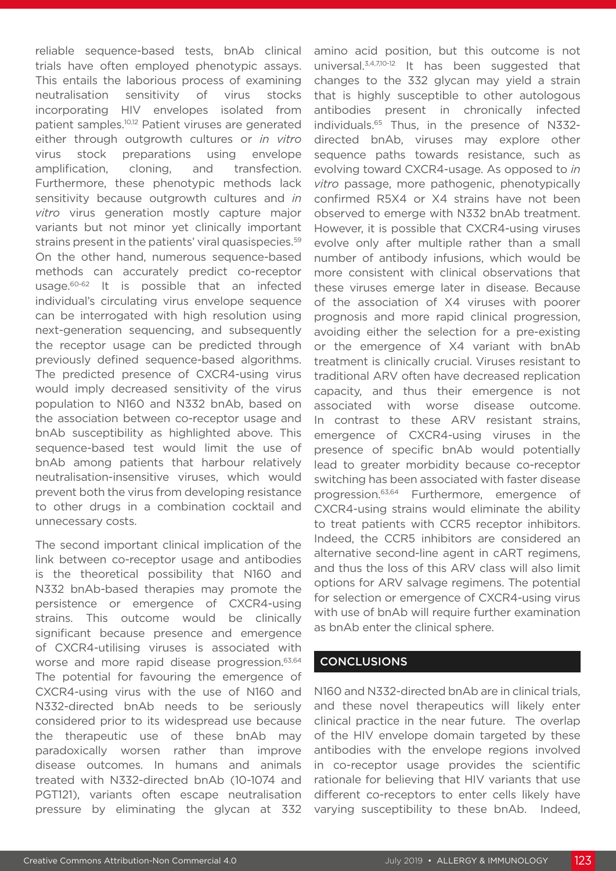reliable sequence-based tests, bnAb clinical trials have often employed phenotypic assays. This entails the laborious process of examining neutralisation sensitivity of virus stocks incorporating HIV envelopes isolated from patient samples.10,12 Patient viruses are generated either through outgrowth cultures or *in vitro* virus stock preparations using envelope amplification, cloning, and transfection. Furthermore, these phenotypic methods lack sensitivity because outgrowth cultures and *in vitro* virus generation mostly capture major variants but not minor yet clinically important strains present in the patients' viral quasispecies.<sup>59</sup> On the other hand, numerous sequence-based methods can accurately predict co-receptor usage.60-62 It is possible that an infected individual's circulating virus envelope sequence can be interrogated with high resolution using next-generation sequencing, and subsequently the receptor usage can be predicted through previously defined sequence-based algorithms. The predicted presence of CXCR4-using virus would imply decreased sensitivity of the virus population to N160 and N332 bnAb, based on the association between co-receptor usage and bnAb susceptibility as highlighted above. This sequence-based test would limit the use of bnAb among patients that harbour relatively neutralisation-insensitive viruses, which would prevent both the virus from developing resistance to other drugs in a combination cocktail and unnecessary costs.

The second important clinical implication of the link between co-receptor usage and antibodies is the theoretical possibility that N160 and N332 bnAb-based therapies may promote the persistence or emergence of CXCR4-using strains. This outcome would be clinically significant because presence and emergence of CXCR4-utilising viruses is associated with worse and more rapid disease progression.<sup>63,64</sup> The potential for favouring the emergence of CXCR4-using virus with the use of N160 and N332-directed bnAb needs to be seriously considered prior to its widespread use because the therapeutic use of these bnAb may paradoxically worsen rather than improve disease outcomes. In humans and animals treated with N332-directed bnAb (10-1074 and PGT121), variants often escape neutralisation pressure by eliminating the glycan at 332

amino acid position, but this outcome is not universal.3,4,7,10-12 It has been suggested that changes to the 332 glycan may yield a strain that is highly susceptible to other autologous antibodies present in chronically infected individuals.65 Thus, in the presence of N332 directed bnAb, viruses may explore other sequence paths towards resistance, such as evolving toward CXCR4-usage. As opposed to *in vitro* passage, more pathogenic, phenotypically confirmed R5X4 or X4 strains have not been observed to emerge with N332 bnAb treatment. However, it is possible that CXCR4-using viruses evolve only after multiple rather than a small number of antibody infusions, which would be more consistent with clinical observations that these viruses emerge later in disease. Because of the association of X4 viruses with poorer prognosis and more rapid clinical progression, avoiding either the selection for a pre-existing or the emergence of X4 variant with bnAb treatment is clinically crucial. Viruses resistant to traditional ARV often have decreased replication capacity, and thus their emergence is not associated with worse disease outcome. In contrast to these ARV resistant strains, emergence of CXCR4-using viruses in the presence of specific bnAb would potentially lead to greater morbidity because co-receptor switching has been associated with faster disease progression.63,64 Furthermore, emergence of CXCR4-using strains would eliminate the ability to treat patients with CCR5 receptor inhibitors. Indeed, the CCR5 inhibitors are considered an alternative second-line agent in cART regimens, and thus the loss of this ARV class will also limit options for ARV salvage regimens. The potential for selection or emergence of CXCR4-using virus with use of bnAb will require further examination as bnAb enter the clinical sphere.

### **CONCLUSIONS**

N160 and N332-directed bnAb are in clinical trials, and these novel therapeutics will likely enter clinical practice in the near future. The overlap of the HIV envelope domain targeted by these antibodies with the envelope regions involved in co-receptor usage provides the scientific rationale for believing that HIV variants that use different co-receptors to enter cells likely have varying susceptibility to these bnAb. Indeed,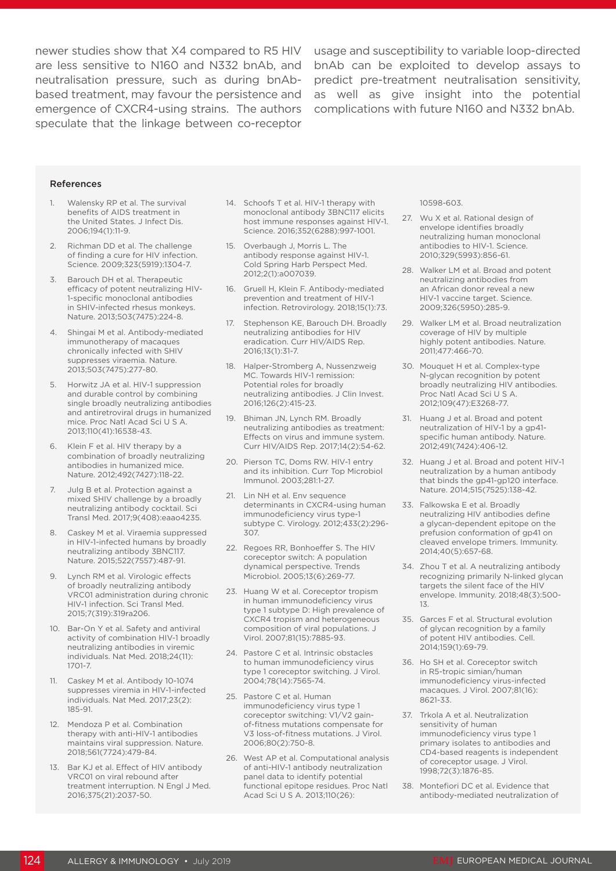newer studies show that X4 compared to R5 HIV usage and susceptibility to variable loop-directed are less sensitive to N160 and N332 bnAb, and bnAb can be exploited to develop assays to neutralisation pressure, such as during bnAbbased treatment, may favour the persistence and emergence of CXCR4-using strains. The authors speculate that the linkage between co-receptor

predict pre-treatment neutralisation sensitivity, as well as give insight into the potential complications with future N160 and N332 bnAb.

#### References

- Walensky RP et al. The survival benefits of AIDS treatment in the United States. J Infect Dis. 2006;194(1):11-9.
- 2. Richman DD et al. The challenge of finding a cure for HIV infection. Science. 2009;323(5919):1304-7.
- 3. Barouch DH et al. Therapeutic efficacy of potent neutralizing HIV-1-specific monoclonal antibodies in SHIV-infected rhesus monkeys. Nature. 2013;503(7475):224-8.
- 4. Shingai M et al. Antibody-mediated immunotherapy of macaques chronically infected with SHIV suppresses viraemia. Nature. 2013;503(7475):277-80.
- 5. Horwitz JA et al. HIV-1 suppression and durable control by combining single broadly neutralizing antibodies and antiretroviral drugs in humanized mice. Proc Natl Acad Sci U S A. 2013;110(41):16538-43.
- 6. Klein F et al. HIV therapy by a combination of broadly neutralizing antibodies in humanized mice. Nature. 2012;492(7427):118-22.
- 7. Julg B et al. Protection against a mixed SHIV challenge by a broadly neutralizing antibody cocktail. Sci Transl Med. 2017;9(408):eaao4235.
- 8. Caskey M et al. Viraemia suppressed in HIV-1-infected humans by broadly neutralizing antibody 3BNC117. Nature. 2015;522(7557):487-91.
- 9. Lynch RM et al. Virologic effects of broadly neutralizing antibody VRC01 administration during chronic HIV-1 infection. Sci Transl Med. 2015;7(319):319ra206.
- 10. Bar-On Y et al. Safety and antiviral activity of combination HIV-1 broadly neutralizing antibodies in viremic individuals. Nat Med. 2018;24(11): 1701-7.
- 11. Caskey M et al. Antibody 10-1074 suppresses viremia in HIV-1-infected individuals. Nat Med. 2017;23(2): 185-91.
- 12. Mendoza P et al. Combination therapy with anti-HIV-1 antibodies maintains viral suppression. Nature. 2018;561(7724):479-84.
- 13. Bar KJ et al. Effect of HIV antibody VRC01 on viral rebound after treatment interruption. N Engl J Med. 2016;375(21):2037-50.
- 14. Schoofs T et al. HIV-1 therapy with monoclonal antibody 3BNC117 elicits host immune responses against HIV-1. Science. 2016;352(6288):997-1001.
- 15. Overbaugh J, Morris L. The antibody response against HIV-1. Cold Spring Harb Perspect Med. 2012;2(1):a007039.
- 16. Gruell H, Klein F. Antibody-mediated prevention and treatment of HIV-1 infection. Retrovirology. 2018;15(1):73.
- 17. Stephenson KE, Barouch DH. Broadly neutralizing antibodies for HIV eradication. Curr HIV/AIDS Rep. 2016;13(1):31-7.
- 18. Halper-Stromberg A, Nussenzweig MC. Towards HIV-1 remission: Potential roles for broadly neutralizing antibodies. J Clin Invest. 2016;126(2):415-23.
- 19. Bhiman JN, Lynch RM. Broadly neutralizing antibodies as treatment: Effects on virus and immune system. Curr HIV/AIDS Rep. 2017;14(2):54-62.
- 20. Pierson TC, Doms RW. HIV-1 entry and its inhibition. Curr Top Microbiol Immunol. 2003;281:1-27.
- 21. Lin NH et al. Env sequence determinants in CXCR4-using human immunodeficiency virus type-1 subtype C. Virology. 2012;433(2):296- 307.
- 22. Regoes RR, Bonhoeffer S. The HIV coreceptor switch: A population dynamical perspective. Trends Microbiol. 2005;13(6):269-77.
- 23. Huang W et al. Coreceptor tropism in human immunodeficiency virus type 1 subtype D: High prevalence of CXCR4 tropism and heterogeneous composition of viral populations. J Virol. 2007;81(15):7885-93.
- 24. Pastore C et al. Intrinsic obstacles to human immunodeficiency virus type 1 coreceptor switching. J Virol. 2004;78(14):7565-74.
- 25. Pastore C et al. Human immunodeficiency virus type 1 coreceptor switching: V1/V2 gainof-fitness mutations compensate for V3 loss-of-fitness mutations. J Virol. 2006;80(2):750-8.
- 26. West AP et al. Computational analysis of anti-HIV-1 antibody neutralization panel data to identify potential functional epitope residues. Proc Natl Acad Sci U S A. 2013;110(26):

10598-603.

- 27. Wu X et al. Rational design of envelope identifies broadly neutralizing human monoclonal antibodies to HIV-1. Science. 2010;329(5993):856-61.
- 28. Walker LM et al. Broad and potent neutralizing antibodies from an African donor reveal a new HIV-1 vaccine target. Science. 2009;326(5950):285-9.
- 29. Walker LM et al. Broad neutralization coverage of HIV by multiple highly potent antibodies. Nature. 2011;477:466-70.
- 30. Mouquet H et al. Complex-type N-glycan recognition by potent broadly neutralizing HIV antibodies. Proc Natl Acad Sci U S A. 2012;109(47):E3268-77.
- 31. Huang J et al. Broad and potent neutralization of HIV-1 by a gp41 specific human antibody. Nature. 2012;491(7424):406-12.
- 32. Huang J et al. Broad and potent HIV-1 neutralization by a human antibody that binds the gp41-gp120 interface. Nature. 2014;515(7525):138-42.
- 33. Falkowska E et al. Broadly neutralizing HIV antibodies define a glycan-dependent epitope on the prefusion conformation of gp41 on cleaved envelope trimers. Immunity. 2014;40(5):657-68.
- 34. Zhou T et al. A neutralizing antibody recognizing primarily N-linked glycan targets the silent face of the HIV envelope. Immunity. 2018;48(3):500- 13.
- 35. Garces F et al. Structural evolution of glycan recognition by a family of potent HIV antibodies. Cell. 2014;159(1):69-79.
- 36. Ho SH et al. Coreceptor switch in R5-tropic simian/human immunodeficiency virus-infected macaques. J Virol. 2007;81(16): 8621-33.
- 37. Trkola A et al. Neutralization sensitivity of human immunodeficiency virus type 1 primary isolates to antibodies and CD4-based reagents is independent of coreceptor usage. J Virol. 1998;72(3):1876-85.
- 38. Montefiori DC et al. Evidence that antibody-mediated neutralization of